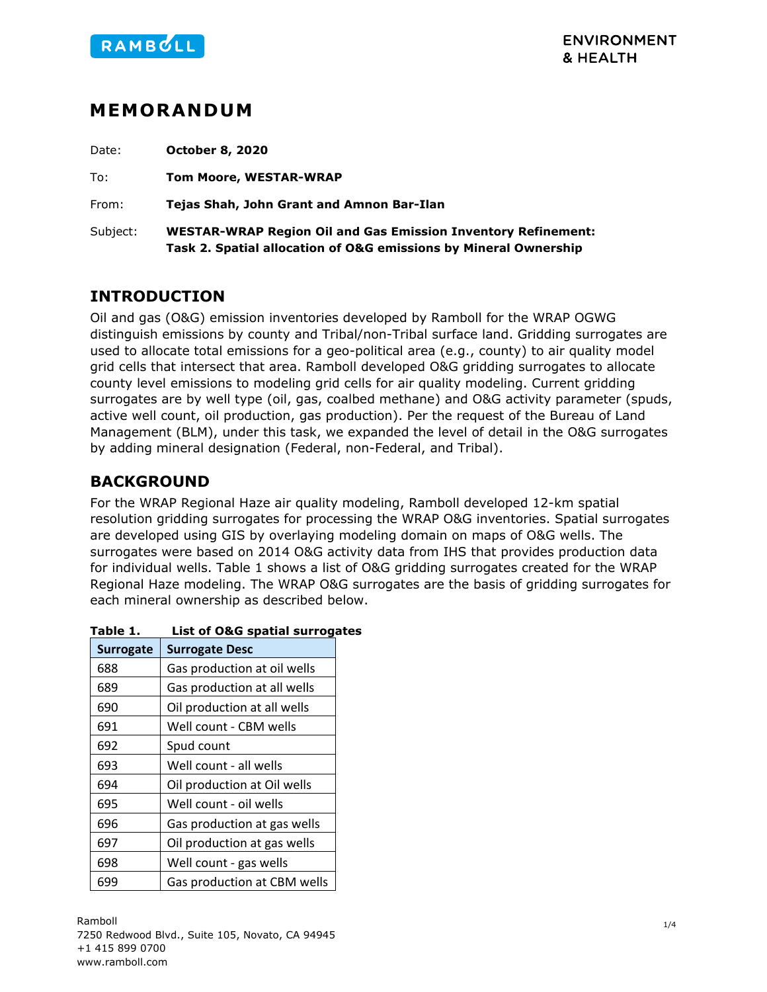

# **MEMORANDUM**

Date: **October 8, 2020**

To: **Tom Moore, WESTAR-WRAP**

From: **Tejas Shah, John Grant and Amnon Bar-Ilan**

Subject: **WESTAR-WRAP Region Oil and Gas Emission Inventory Refinement: Task 2. Spatial allocation of O&G emissions by Mineral Ownership**

## **INTRODUCTION**

Oil and gas (O&G) emission inventories developed by Ramboll for the WRAP OGWG distinguish emissions by county and Tribal/non-Tribal surface land. Gridding surrogates are used to allocate total emissions for a geo-political area (e.g., county) to air quality model grid cells that intersect that area. Ramboll developed O&G gridding surrogates to allocate county level emissions to modeling grid cells for air quality modeling. Current gridding surrogates are by well type (oil, gas, coalbed methane) and O&G activity parameter (spuds, active well count, oil production, gas production). Per the request of the Bureau of Land Management (BLM), under this task, we expanded the level of detail in the O&G surrogates by adding mineral designation (Federal, non-Federal, and Tribal).

## **BACKGROUND**

For the WRAP Regional Haze air quality modeling, Ramboll developed 12-km spatial resolution gridding surrogates for processing the WRAP O&G inventories. Spatial surrogates are developed using GIS by overlaying modeling domain on maps of O&G wells. The surrogates were based on 2014 O&G activity data from IHS that provides production data for individual wells. [Table 1](#page-0-0) shows a list of O&G gridding surrogates created for the WRAP Regional Haze modeling. The WRAP O&G surrogates are the basis of gridding surrogates for each mineral ownership as described below.

| <b>Surrogate</b> | <b>Surrogate Desc</b>       |
|------------------|-----------------------------|
| 688              | Gas production at oil wells |
| 689              | Gas production at all wells |
| 690              | Oil production at all wells |
| 691              | Well count - CBM wells      |
| 692              | Spud count                  |
| 693              | Well count - all wells      |
| 694              | Oil production at Oil wells |
| 695              | Well count - oil wells      |
| 696              | Gas production at gas wells |
| 697              | Oil production at gas wells |
| 698              | Well count - gas wells      |
| 699              | Gas production at CBM wells |

#### <span id="page-0-0"></span>**Table 1. List of O&G spatial surrogates**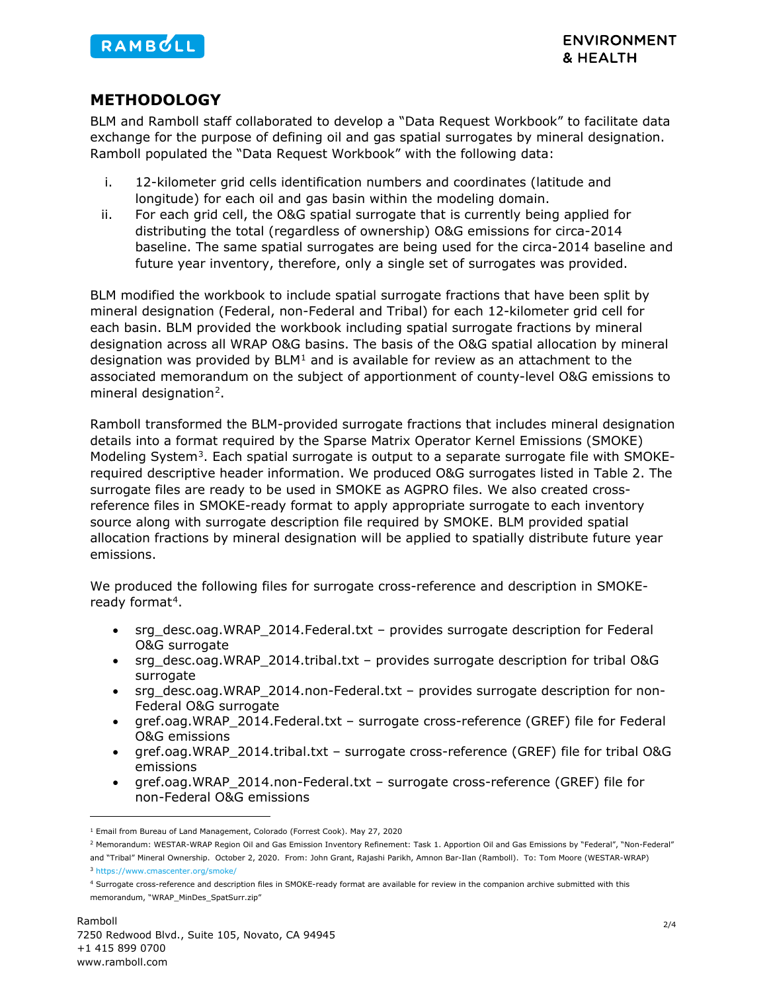

#### **METHODOLOGY**

BLM and Ramboll staff collaborated to develop a "Data Request Workbook" to facilitate data exchange for the purpose of defining oil and gas spatial surrogates by mineral designation. Ramboll populated the "Data Request Workbook" with the following data:

- i. 12-kilometer grid cells identification numbers and coordinates (latitude and longitude) for each oil and gas basin within the modeling domain.
- ii. For each grid cell, the O&G spatial surrogate that is currently being applied for distributing the total (regardless of ownership) O&G emissions for circa-2014 baseline. The same spatial surrogates are being used for the circa-2014 baseline and future year inventory, therefore, only a single set of surrogates was provided.

BLM modified the workbook to include spatial surrogate fractions that have been split by mineral designation (Federal, non-Federal and Tribal) for each 12-kilometer grid cell for each basin. BLM provided the workbook including spatial surrogate fractions by mineral designation across all WRAP O&G basins. The basis of the O&G spatial allocation by mineral designation was provided by  $BLM<sup>1</sup>$  $BLM<sup>1</sup>$  $BLM<sup>1</sup>$  and is available for review as an attachment to the associated memorandum on the subject of apportionment of county-level O&G emissions to mineral designation<sup>2</sup>.

Ramboll transformed the BLM-provided surrogate fractions that includes mineral designation details into a format required by the Sparse Matrix Operator Kernel Emissions (SMOKE) Modeling System<sup>[3](#page-1-2)</sup>. Each spatial surrogate is output to a separate surrogate file with SMOKErequired descriptive header information. We produced O&G surrogates listed in [Table 2.](#page-2-0) The surrogate files are ready to be used in SMOKE as AGPRO files. We also created crossreference files in SMOKE-ready format to apply appropriate surrogate to each inventory source along with surrogate description file required by SMOKE. BLM provided spatial allocation fractions by mineral designation will be applied to spatially distribute future year emissions.

We produced the following files for surrogate cross-reference and description in SMOKE-ready format<sup>[4](#page-1-3)</sup>.

- srg\_desc.oag.WRAP\_2014.Federal.txt provides surrogate description for Federal O&G surrogate
- srg\_desc.oag.WRAP\_2014.tribal.txt provides surrogate description for tribal O&G surrogate
- srg\_desc.oag.WRAP\_2014.non-Federal.txt provides surrogate description for non-Federal O&G surrogate
- gref.oag.WRAP\_2014.Federal.txt surrogate cross-reference (GREF) file for Federal O&G emissions
- gref.oag.WRAP\_2014.tribal.txt surrogate cross-reference (GREF) file for tribal O&G emissions
- gref.oag.WRAP\_2014.non-Federal.txt surrogate cross-reference (GREF) file for non-Federal O&G emissions

<span id="page-1-0"></span><sup>1</sup> Email from Bureau of Land Management, Colorado (Forrest Cook). May 27, 2020

<span id="page-1-1"></span><sup>&</sup>lt;sup>2</sup> Memorandum: WESTAR-WRAP Region Oil and Gas Emission Inventory Refinement: Task 1. Apportion Oil and Gas Emissions by "Federal", "Non-Federal" and "Tribal" Mineral Ownership. October 2, 2020. From: John Grant, Rajashi Parikh, Amnon Bar-Ilan (Ramboll). To: Tom Moore (WESTAR-WRAP)

<span id="page-1-2"></span><sup>3</sup> <https://www.cmascenter.org/smoke/>

<span id="page-1-3"></span><sup>4</sup> Surrogate cross-reference and description files in SMOKE-ready format are available for review in the companion archive submitted with this memorandum, "WRAP\_MinDes\_SpatSurr.zip"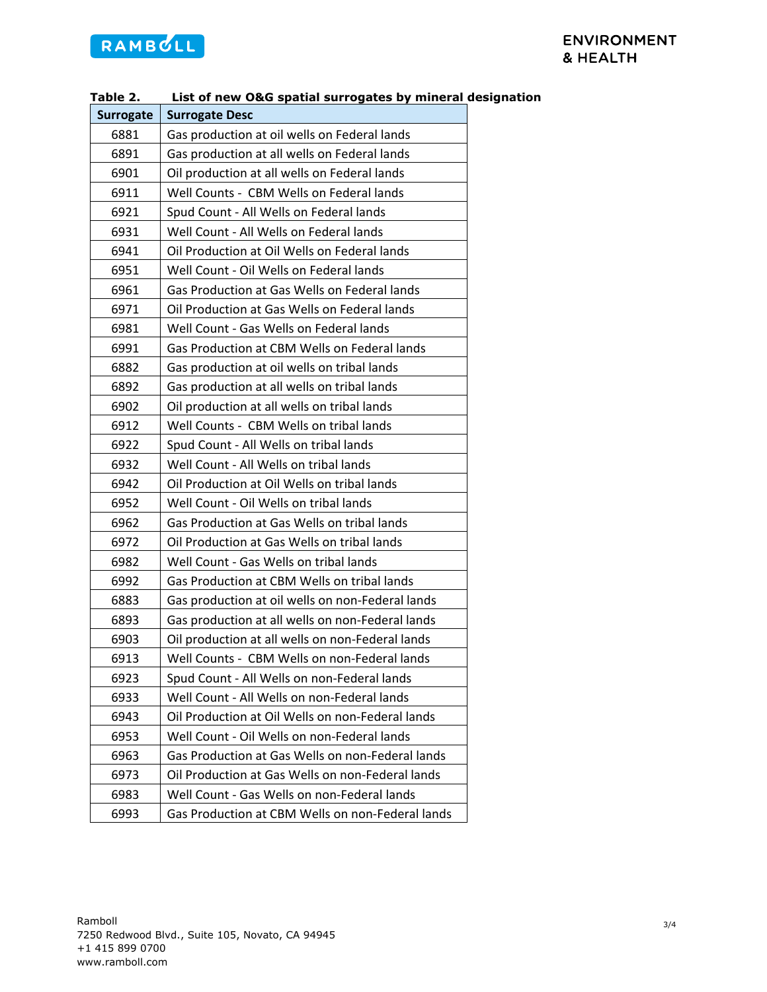# RAMBULL

<span id="page-2-0"></span>

| Table 2.<br>List of new O&G spatial surrogates by mineral desig |                                                  |
|-----------------------------------------------------------------|--------------------------------------------------|
| <b>Surrogate</b>                                                | <b>Surrogate Desc</b>                            |
| 6881                                                            | Gas production at oil wells on Federal lands     |
| 6891                                                            | Gas production at all wells on Federal lands     |
| 6901                                                            | Oil production at all wells on Federal lands     |
| 6911                                                            | Well Counts - CBM Wells on Federal lands         |
| 6921                                                            | Spud Count - All Wells on Federal lands          |
| 6931                                                            | Well Count - All Wells on Federal lands          |
| 6941                                                            | Oil Production at Oil Wells on Federal lands     |
| 6951                                                            | Well Count - Oil Wells on Federal lands          |
| 6961                                                            | Gas Production at Gas Wells on Federal lands     |
| 6971                                                            | Oil Production at Gas Wells on Federal lands     |
| 6981                                                            | Well Count - Gas Wells on Federal lands          |
| 6991                                                            | Gas Production at CBM Wells on Federal lands     |
| 6882                                                            | Gas production at oil wells on tribal lands      |
| 6892                                                            | Gas production at all wells on tribal lands      |
| 6902                                                            | Oil production at all wells on tribal lands      |
| 6912                                                            | Well Counts - CBM Wells on tribal lands          |
| 6922                                                            | Spud Count - All Wells on tribal lands           |
| 6932                                                            | Well Count - All Wells on tribal lands           |
| 6942                                                            | Oil Production at Oil Wells on tribal lands      |
| 6952                                                            | Well Count - Oil Wells on tribal lands           |
| 6962                                                            | Gas Production at Gas Wells on tribal lands      |
| 6972                                                            | Oil Production at Gas Wells on tribal lands      |
| 6982                                                            | Well Count - Gas Wells on tribal lands           |
| 6992                                                            | Gas Production at CBM Wells on tribal lands      |
| 6883                                                            | Gas production at oil wells on non-Federal lands |
| 6893                                                            | Gas production at all wells on non-Federal lands |
| 6903                                                            | Oil production at all wells on non-Federal lands |
| 6913                                                            | Well Counts - CBM Wells on non-Federal lands     |
| 6923                                                            | Spud Count - All Wells on non-Federal lands      |
| 6933                                                            | Well Count - All Wells on non-Federal lands      |
| 6943                                                            | Oil Production at Oil Wells on non-Federal lands |
| 6953                                                            | Well Count - Oil Wells on non-Federal lands      |
| 6963                                                            | Gas Production at Gas Wells on non-Federal lands |
| 6973                                                            | Oil Production at Gas Wells on non-Federal lands |
| 6983                                                            | Well Count - Gas Wells on non-Federal lands      |
| 6993                                                            | Gas Production at CBM Wells on non-Federal lands |

#### **Table 2. List of new O&G spatial surrogates by mineral designation**